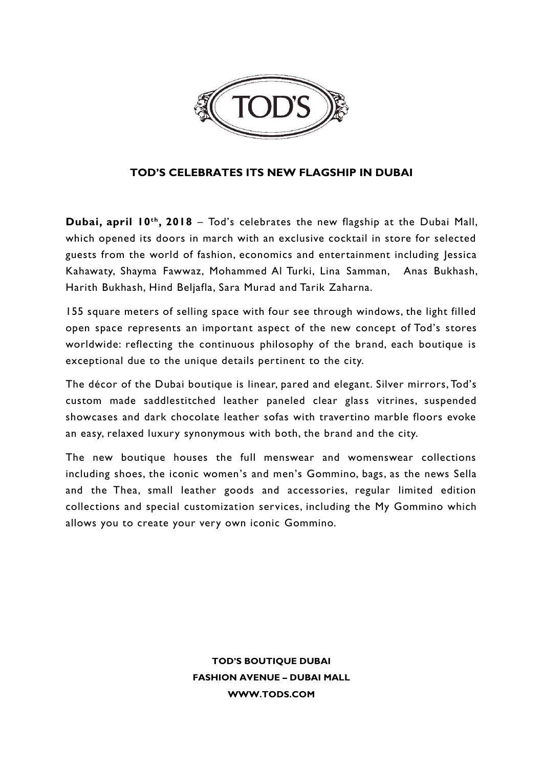

## **TOD'S CELEBRATES ITS NEW FLAGSHIP IN DUBAI**

**Dubai, april 10th, 2018** – Tod's celebrates the new flagship at the Dubai Mall, which opened its doors in march with an exclusive cocktail in store for selected guests from the world of fashion, economics and entertainment including Jessica Kahawaty, Shayma Fawwaz, Mohammed Al Turki, Lina Samman, Anas Bukhash, Harith Bukhash, Hind Beljafla, Sara Murad and Tarik Zaharna.

155 square meters of selling space with four see through windows, the light filled open space represents an important aspect of the new concept of Tod's stores worldwide: reflecting the continuous philosophy of the brand, each boutique is exceptional due to the unique details pertinent to the city.

The décor of the Dubai boutique is linear, pared and elegant. Silver mirrors, Tod's custom made saddlestitched leather paneled clear glass vitrines, suspended showcases and dark chocolate leather sofas with travertino marble floors evoke an easy, relaxed luxury synonymous with both, the brand and the city.

The new boutique houses the full menswear and womenswear collections including shoes, the iconic women's and men's Gommino, bags, as the news Sella and the Thea, small leather goods and accessories, regular limited edition collections and special customization services, including the My Gommino which allows you to create your very own iconic Gommino.

> **TOD'S BOUTIQUE DUBAI FASHION AVENUE – DUBAI MALL [WWW.TODS.COM](http://www.tods.com/)**